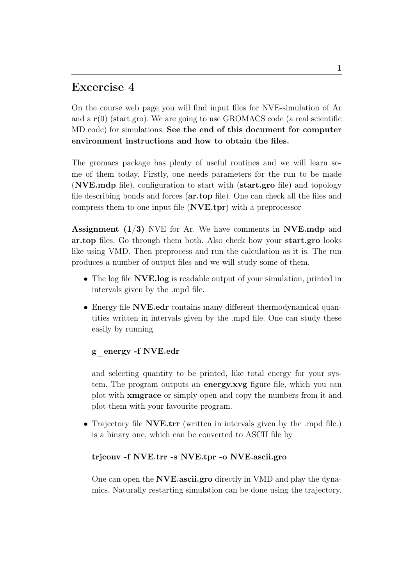# Excercise 4

On the course web page you will find input files for NVE-simulation of Ar and a  $r(0)$  (start.gro). We are going to use GROMACS code (a real scientific MD code) for simulations. See the end of this document for computer environment instructions and how to obtain the files.

The gromacs package has plenty of useful routines and we will learn some of them today. Firstly, one needs parameters for the run to be made (NVE.mdp file), configuration to start with (start.gro file) and topology file describing bonds and forces (ar.top file). One can check all the files and compress them to one input file (NVE.tpr) with a preprocessor

**Assignment**  $(1/3)$  NVE for Ar. We have comments in **NVE.mdp** and ar.top files. Go through them both. Also check how your start.gro looks like using VMD. Then preprocess and run the calculation as it is. The run produces a number of output files and we will study some of them.

- The log file **NVE.log** is readable output of your simulation, printed in intervals given by the .mpd file.
- Energy file NVE.edr contains many different thermodynamical quantities written in intervals given by the .mpd file. One can study these easily by running

# g\_energy -f NVE.edr

and selecting quantity to be printed, like total energy for your system. The program outputs an energy.xvg figure file, which you can plot with xmgrace or simply open and copy the numbers from it and plot them with your favourite program.

• Trajectory file **NVE.trr** (written in intervals given by the .mpd file.) is a binary one, which can be converted to ASCII file by

### trjconv -f NVE.trr -s NVE.tpr -o NVE.ascii.gro

One can open the NVE.ascii.gro directly in VMD and play the dynamics. Naturally restarting simulation can be done using the trajectory.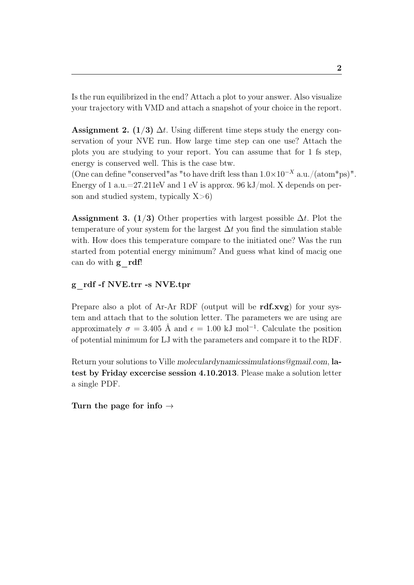Is the run equilibrized in the end? Attach a plot to your answer. Also visualize your trajectory with VMD and attach a snapshot of your choice in the report.

Assignment 2. (1/3)  $\Delta t$ . Using different time steps study the energy conservation of your NVE run. How large time step can one use? Attach the plots you are studying to your report. You can assume that for 1 fs step, energy is conserved well. This is the case btw.

(One can define "conserved"as "to have drift less than  $1.0\times10^{-X}$  a.u./(atom\*ps)". Energy of 1 a.u.=27.211eV and 1 eV is approx. 96 kJ/mol. X depends on person and studied system, typically  $X>6$ )

Assignment 3. (1/3) Other properties with largest possible  $\Delta t$ . Plot the temperature of your system for the largest  $\Delta t$  you find the simulation stable with. How does this temperature compare to the initiated one? Was the run started from potential energy minimum? And guess what kind of macig one can do with  $g$  rdf!

# g\_rdf -f NVE.trr -s NVE.tpr

Prepare also a plot of Ar-Ar RDF (output will be rdf.xvg) for your system and attach that to the solution letter. The parameters we are using are approximately  $\sigma = 3.405$  Å and  $\epsilon = 1.00$  kJ mol<sup>-1</sup>. Calculate the position of potential minimum for LJ with the parameters and compare it to the RDF.

Return your solutions to Ville moleculardynamicssimulations@gmail.com, latest by Friday excercise session 4.10.2013. Please make a solution letter a single PDF.

Turn the page for info  $\rightarrow$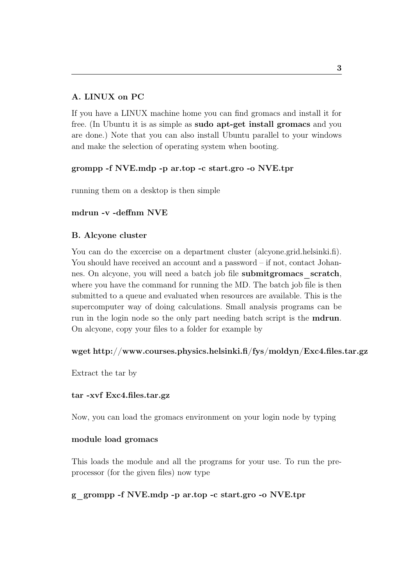# A. LINUX on PC

If you have a LINUX machine home you can find gromacs and install it for free. (In Ubuntu it is as simple as sudo apt-get install gromacs and you are done.) Note that you can also install Ubuntu parallel to your windows and make the selection of operating system when booting.

# grompp -f NVE.mdp -p ar.top -c start.gro -o NVE.tpr

running them on a desktop is then simple

# mdrun -v -deffnm NVE

# B. Alcyone cluster

You can do the excercise on a department cluster (alcyone.grid.helsinki.fi). You should have received an account and a password – if not, contact Johannes. On alcyone, you will need a batch job file submitgromacs\_scratch, where you have the command for running the MD. The batch job file is then submitted to a queue and evaluated when resources are available. This is the supercomputer way of doing calculations. Small analysis programs can be run in the login node so the only part needing batch script is the mdrun. On alcyone, copy your files to a folder for example by

### wget http://www.courses.physics.helsinki.fi/fys/moldyn/Exc4.files.tar.gz

Extract the tar by

### tar -xvf Exc4.files.tar.gz

Now, you can load the gromacs environment on your login node by typing

### module load gromacs

This loads the module and all the programs for your use. To run the preprocessor (for the given files) now type

### g\_grompp -f NVE.mdp -p ar.top -c start.gro -o NVE.tpr